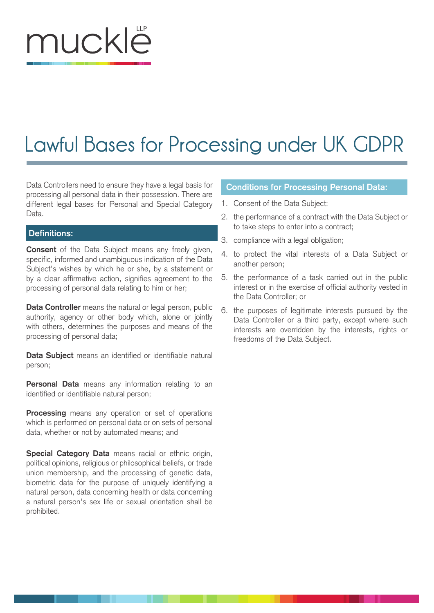# muckle

# **Lawful Bases for Processing under UK GDPR**

Data Controllers need to ensure they have a legal basis for processing all personal data in their possession. There are different legal bases for Personal and Special Category Data.

## **Definitions:**

**Consent** of the Data Subject means any freely given, specific, informed and unambiguous indication of the Data Subject's wishes by which he or she, by a statement or by a clear affirmative action, signifies agreement to the processing of personal data relating to him or her;

**Data Controller** means the natural or legal person, public authority, agency or other body which, alone or jointly with others, determines the purposes and means of the processing of personal data;

**Data Subject** means an identified or identifiable natural person;

**Personal Data** means any information relating to an identified or identifiable natural person;

**Processing** means any operation or set of operations which is performed on personal data or on sets of personal data, whether or not by automated means; and

**Special Category Data** means racial or ethnic origin, political opinions, religious or philosophical beliefs, or trade union membership, and the processing of genetic data, biometric data for the purpose of uniquely identifying a natural person, data concerning health or data concerning a natural person's sex life or sexual orientation shall be prohibited.

# **Conditions for Processing Personal Data:**

- 1. Consent of the Data Subject;
- 2. the performance of a contract with the Data Subject or to take steps to enter into a contract;
- 3. compliance with a legal obligation;
- 4. to protect the vital interests of a Data Subject or another person;
- 5. the performance of a task carried out in the public interest or in the exercise of official authority vested in the Data Controller; or
- 6. the purposes of legitimate interests pursued by the Data Controller or a third party, except where such interests are overridden by the interests, rights or freedoms of the Data Subject.